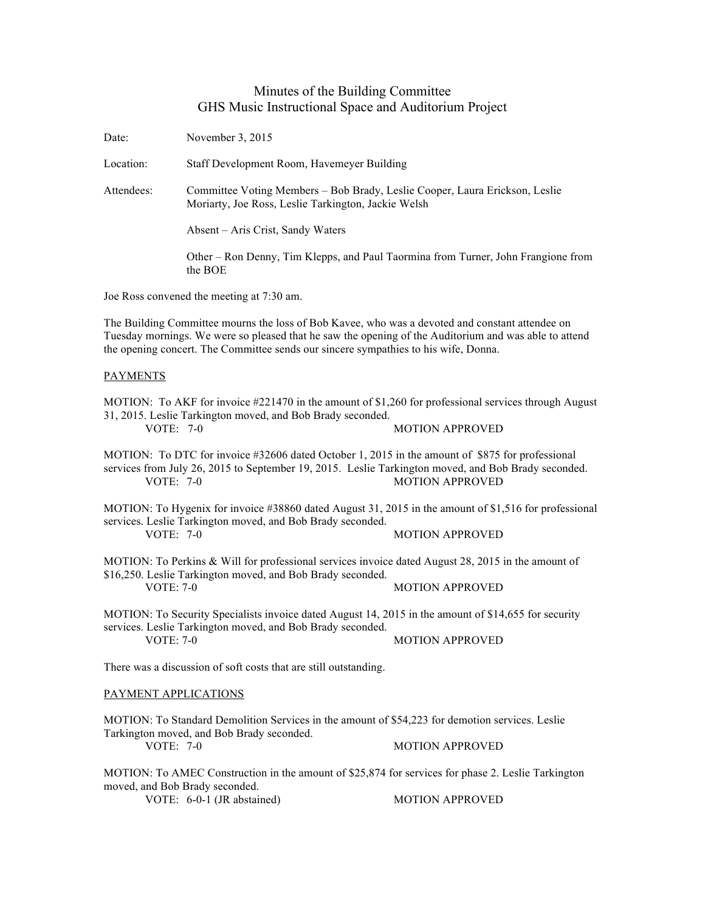## Minutes of the Building Committee GHS Music Instructional Space and Auditorium Project

| Date:                                                                                                                                                                                                                                                                                           | November 3, 2015                                                                                                                                                 |                                                                                                                                 |  |
|-------------------------------------------------------------------------------------------------------------------------------------------------------------------------------------------------------------------------------------------------------------------------------------------------|------------------------------------------------------------------------------------------------------------------------------------------------------------------|---------------------------------------------------------------------------------------------------------------------------------|--|
| Location:                                                                                                                                                                                                                                                                                       | Staff Development Room, Havemeyer Building                                                                                                                       |                                                                                                                                 |  |
| Attendees:                                                                                                                                                                                                                                                                                      | Committee Voting Members - Bob Brady, Leslie Cooper, Laura Erickson, Leslie<br>Moriarty, Joe Ross, Leslie Tarkington, Jackie Welsh                               |                                                                                                                                 |  |
|                                                                                                                                                                                                                                                                                                 | Absent – Aris Crist, Sandy Waters                                                                                                                                |                                                                                                                                 |  |
|                                                                                                                                                                                                                                                                                                 | the BOE                                                                                                                                                          | Other – Ron Denny, Tim Klepps, and Paul Taormina from Turner, John Frangione from                                               |  |
| Joe Ross convened the meeting at 7:30 am.                                                                                                                                                                                                                                                       |                                                                                                                                                                  |                                                                                                                                 |  |
| The Building Committee mourns the loss of Bob Kavee, who was a devoted and constant attendee on<br>Tuesday mornings. We were so pleased that he saw the opening of the Auditorium and was able to attend<br>the opening concert. The Committee sends our sincere sympathies to his wife, Donna. |                                                                                                                                                                  |                                                                                                                                 |  |
| <b>PAYMENTS</b>                                                                                                                                                                                                                                                                                 |                                                                                                                                                                  |                                                                                                                                 |  |
| MOTION: To AKF for invoice #221470 in the amount of \$1,260 for professional services through August<br>31, 2015. Leslie Tarkington moved, and Bob Brady seconded.<br><b>VOTE: 7-0</b><br><b>MOTION APPROVED</b>                                                                                |                                                                                                                                                                  |                                                                                                                                 |  |
| MOTION: To DTC for invoice #32606 dated October 1, 2015 in the amount of \$875 for professional<br>services from July 26, 2015 to September 19, 2015. Leslie Tarkington moved, and Bob Brady seconded.<br><b>MOTION APPROVED</b><br><b>VOTE: 7-0</b>                                            |                                                                                                                                                                  |                                                                                                                                 |  |
| <b>VOTE: 7-0</b>                                                                                                                                                                                                                                                                                | services. Leslie Tarkington moved, and Bob Brady seconded.                                                                                                       | MOTION: To Hygenix for invoice #38860 dated August 31, 2015 in the amount of \$1,516 for professional<br><b>MOTION APPROVED</b> |  |
| <b>VOTE: 7-0</b>                                                                                                                                                                                                                                                                                | MOTION: To Perkins & Will for professional services invoice dated August 28, 2015 in the amount of<br>\$16,250. Leslie Tarkington moved, and Bob Brady seconded. | <b>MOTION APPROVED</b>                                                                                                          |  |
| MOTION: To Security Specialists invoice dated August 14, 2015 in the amount of \$14,655 for security<br>services. Leslie Tarkington moved, and Bob Brady seconded.<br><b>MOTION APPROVED</b><br>VOTE: 7-0                                                                                       |                                                                                                                                                                  |                                                                                                                                 |  |
| There was a discussion of soft costs that are still outstanding.                                                                                                                                                                                                                                |                                                                                                                                                                  |                                                                                                                                 |  |
| PAYMENT APPLICATIONS                                                                                                                                                                                                                                                                            |                                                                                                                                                                  |                                                                                                                                 |  |
| MOTION: To Standard Demolition Services in the amount of \$54,223 for demotion services. Leslie                                                                                                                                                                                                 |                                                                                                                                                                  |                                                                                                                                 |  |
| <b>VOTE: 7-0</b>                                                                                                                                                                                                                                                                                | Tarkington moved, and Bob Brady seconded.                                                                                                                        | <b>MOTION APPROVED</b>                                                                                                          |  |
| MOTION: To AMEC Construction in the amount of \$25,874 for services for phase 2. Leslie Tarkington<br>moved, and Bob Brady seconded.<br>VOTE: 6-0-1 (JR abstained)<br><b>MOTION APPROVED</b>                                                                                                    |                                                                                                                                                                  |                                                                                                                                 |  |